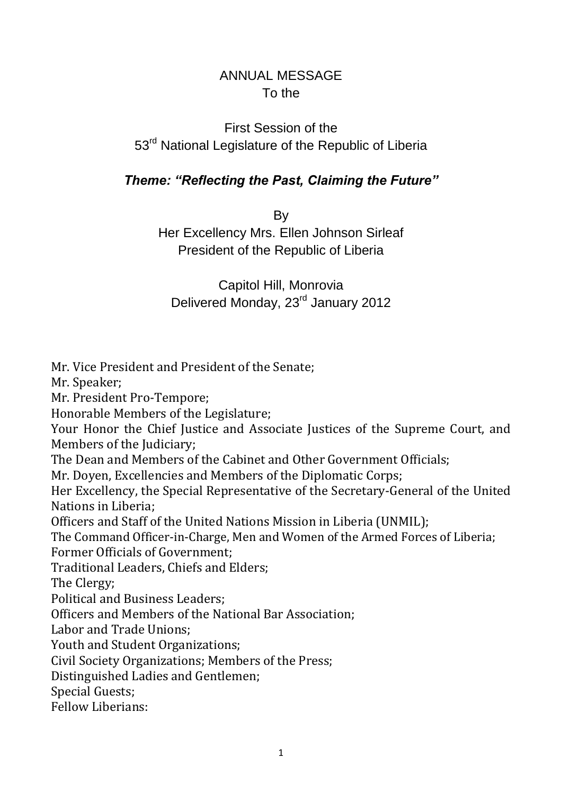# ANNUAL MESSAGE To the

# First Session of the 53<sup>rd</sup> National Legislature of the Republic of Liberia

### *Theme: "Reflecting the Past, Claiming the Future"*

By

Her Excellency Mrs. Ellen Johnson Sirleaf President of the Republic of Liberia

Capitol Hill, Monrovia Delivered Monday, 23<sup>rd</sup> January 2012

Mr. Vice President and President of the Senate; Mr. Speaker; Mr. President Pro-Tempore; Honorable Members of the Legislature; Your Honor the Chief Justice and Associate Justices of the Supreme Court, and Members of the Judiciary; The Dean and Members of the Cabinet and Other Government Officials; Mr. Doyen, Excellencies and Members of the Diplomatic Corps; Her Excellency, the Special Representative of the Secretary-General of the United Nations in Liberia; Officers and Staff of the United Nations Mission in Liberia (UNMIL); The Command Officer-in-Charge, Men and Women of the Armed Forces of Liberia; Former Officials of Government; Traditional Leaders, Chiefs and Elders; The Clergy; Political and Business Leaders; Officers and Members of the National Bar Association; Labor and Trade Unions; Youth and Student Organizations; Civil Society Organizations; Members of the Press; Distinguished Ladies and Gentlemen; Special Guests; Fellow Liberians: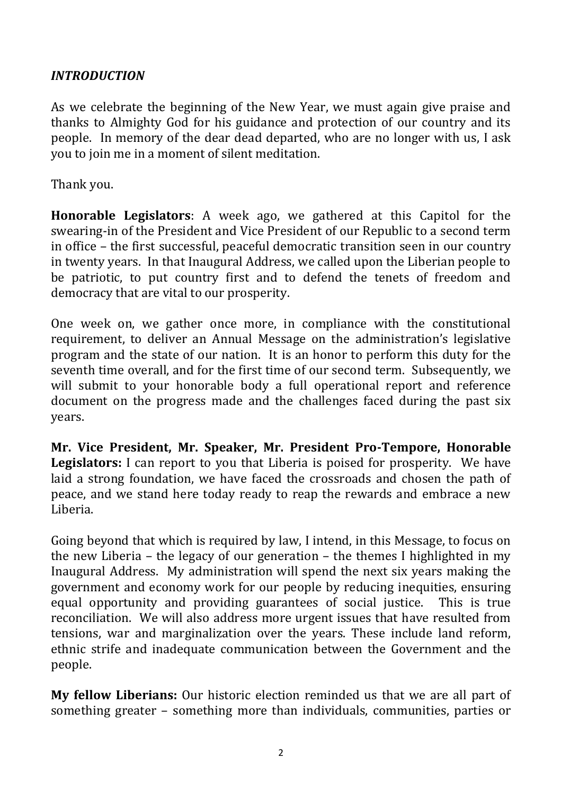#### *INTRODUCTION*

As we celebrate the beginning of the New Year, we must again give praise and thanks to Almighty God for his guidance and protection of our country and its people. In memory of the dear dead departed, who are no longer with us, I ask you to join me in a moment of silent meditation.

Thank you.

**Honorable Legislators**: A week ago, we gathered at this Capitol for the swearing-in of the President and Vice President of our Republic to a second term in office – the first successful, peaceful democratic transition seen in our country in twenty years. In that Inaugural Address, we called upon the Liberian people to be patriotic, to put country first and to defend the tenets of freedom and democracy that are vital to our prosperity.

One week on, we gather once more, in compliance with the constitutional requirement, to deliver an Annual Message on the administration's legislative program and the state of our nation. It is an honor to perform this duty for the seventh time overall, and for the first time of our second term. Subsequently, we will submit to your honorable body a full operational report and reference document on the progress made and the challenges faced during the past six years.

**Mr. Vice President, Mr. Speaker, Mr. President Pro-Tempore, Honorable Legislators:** I can report to you that Liberia is poised for prosperity. We have laid a strong foundation, we have faced the crossroads and chosen the path of peace, and we stand here today ready to reap the rewards and embrace a new Liberia.

Going beyond that which is required by law, I intend, in this Message, to focus on the new Liberia – the legacy of our generation – the themes I highlighted in my Inaugural Address. My administration will spend the next six years making the government and economy work for our people by reducing inequities, ensuring equal opportunity and providing guarantees of social justice. This is true reconciliation. We will also address more urgent issues that have resulted from tensions, war and marginalization over the years. These include land reform, ethnic strife and inadequate communication between the Government and the people.

**My fellow Liberians:** Our historic election reminded us that we are all part of something greater – something more than individuals, communities, parties or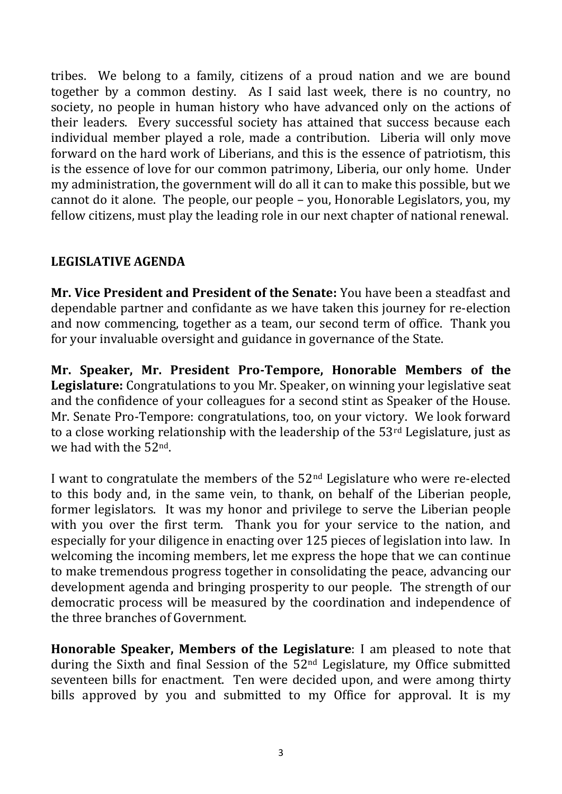tribes. We belong to a family, citizens of a proud nation and we are bound together by a common destiny. As I said last week, there is no country, no society, no people in human history who have advanced only on the actions of their leaders. Every successful society has attained that success because each individual member played a role, made a contribution. Liberia will only move forward on the hard work of Liberians, and this is the essence of patriotism, this is the essence of love for our common patrimony, Liberia, our only home. Under my administration, the government will do all it can to make this possible, but we cannot do it alone. The people, our people – you, Honorable Legislators, you, my fellow citizens, must play the leading role in our next chapter of national renewal.

#### **LEGISLATIVE AGENDA**

**Mr. Vice President and President of the Senate:** You have been a steadfast and dependable partner and confidante as we have taken this journey for re-election and now commencing, together as a team, our second term of office. Thank you for your invaluable oversight and guidance in governance of the State.

**Mr. Speaker, Mr. President Pro-Tempore, Honorable Members of the Legislature:** Congratulations to you Mr. Speaker, on winning your legislative seat and the confidence of your colleagues for a second stint as Speaker of the House. Mr. Senate Pro-Tempore: congratulations, too, on your victory. We look forward to a close working relationship with the leadership of the 53rd Legislature, just as we had with the 52nd.

I want to congratulate the members of the 52nd Legislature who were re-elected to this body and, in the same vein, to thank, on behalf of the Liberian people, former legislators. It was my honor and privilege to serve the Liberian people with you over the first term. Thank you for your service to the nation, and especially for your diligence in enacting over 125 pieces of legislation into law. In welcoming the incoming members, let me express the hope that we can continue to make tremendous progress together in consolidating the peace, advancing our development agenda and bringing prosperity to our people. The strength of our democratic process will be measured by the coordination and independence of the three branches of Government.

**Honorable Speaker, Members of the Legislature**: I am pleased to note that during the Sixth and final Session of the 52nd Legislature, my Office submitted seventeen bills for enactment. Ten were decided upon, and were among thirty bills approved by you and submitted to my Office for approval. It is my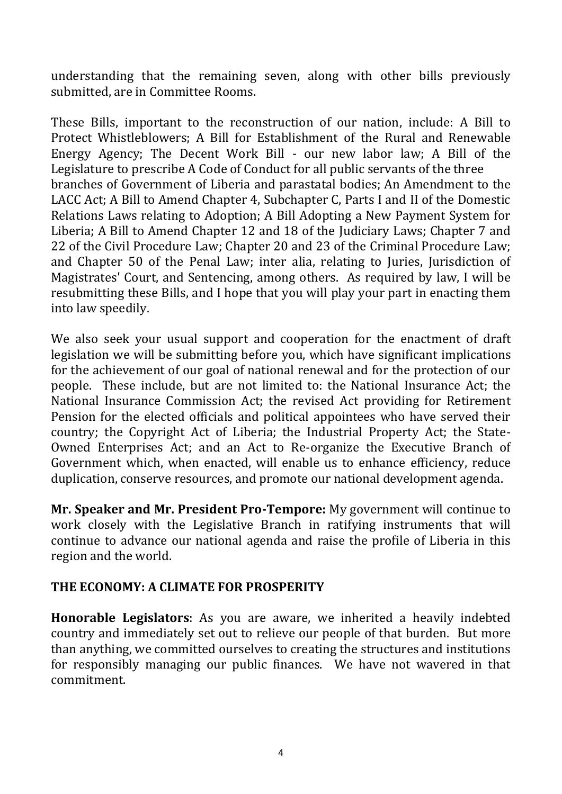understanding that the remaining seven, along with other bills previously submitted, are in Committee Rooms.

These Bills, important to the reconstruction of our nation, include: A Bill to Protect Whistleblowers; A Bill for Establishment of the Rural and Renewable Energy Agency; The Decent Work Bill - our new labor law; A Bill of the Legislature to prescribe A Code of Conduct for all public servants of the three branches of Government of Liberia and parastatal bodies; An Amendment to the LACC Act; A Bill to Amend Chapter 4, Subchapter C, Parts I and II of the Domestic Relations Laws relating to Adoption; A Bill Adopting a New Payment System for Liberia; A Bill to Amend Chapter 12 and 18 of the Judiciary Laws; Chapter 7 and 22 of the Civil Procedure Law; Chapter 20 and 23 of the Criminal Procedure Law; and Chapter 50 of the Penal Law; inter alia, relating to Juries, Jurisdiction of Magistrates' Court, and Sentencing, among others. As required by law, I will be resubmitting these Bills, and I hope that you will play your part in enacting them into law speedily.

We also seek your usual support and cooperation for the enactment of draft legislation we will be submitting before you, which have significant implications for the achievement of our goal of national renewal and for the protection of our people. These include, but are not limited to: the National Insurance Act; the National Insurance Commission Act; the revised Act providing for Retirement Pension for the elected officials and political appointees who have served their country; the Copyright Act of Liberia; the Industrial Property Act; the State-Owned Enterprises Act; and an Act to Re-organize the Executive Branch of Government which, when enacted, will enable us to enhance efficiency, reduce duplication, conserve resources, and promote our national development agenda.

**Mr. Speaker and Mr. President Pro-Tempore:** My government will continue to work closely with the Legislative Branch in ratifying instruments that will continue to advance our national agenda and raise the profile of Liberia in this region and the world.

#### **THE ECONOMY: A CLIMATE FOR PROSPERITY**

**Honorable Legislators**: As you are aware, we inherited a heavily indebted country and immediately set out to relieve our people of that burden. But more than anything, we committed ourselves to creating the structures and institutions for responsibly managing our public finances. We have not wavered in that commitment.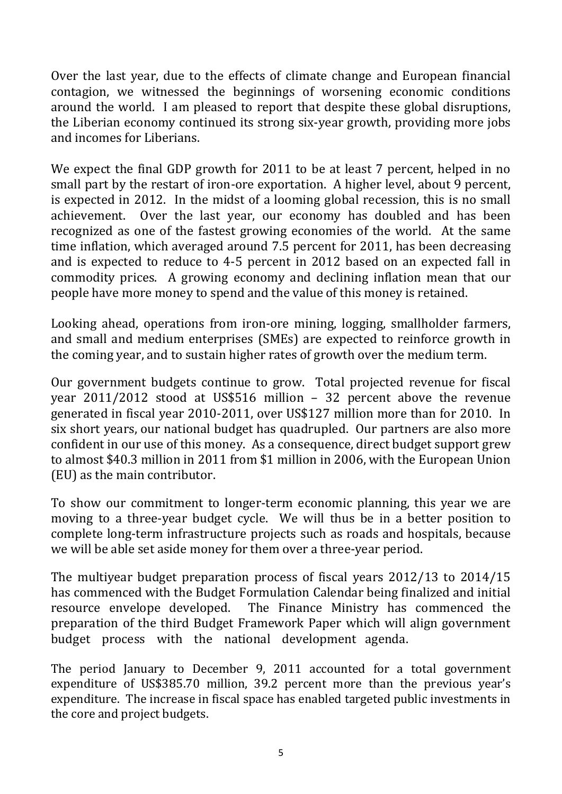Over the last year, due to the effects of climate change and European financial contagion, we witnessed the beginnings of worsening economic conditions around the world. I am pleased to report that despite these global disruptions, the Liberian economy continued its strong six-year growth, providing more jobs and incomes for Liberians.

We expect the final GDP growth for 2011 to be at least 7 percent, helped in no small part by the restart of iron-ore exportation. A higher level, about 9 percent, is expected in 2012. In the midst of a looming global recession, this is no small achievement. Over the last year, our economy has doubled and has been recognized as one of the fastest growing economies of the world. At the same time inflation, which averaged around 7.5 percent for 2011, has been decreasing and is expected to reduce to 4-5 percent in 2012 based on an expected fall in commodity prices. A growing economy and declining inflation mean that our people have more money to spend and the value of this money is retained.

Looking ahead, operations from iron-ore mining, logging, smallholder farmers, and small and medium enterprises (SMEs) are expected to reinforce growth in the coming year, and to sustain higher rates of growth over the medium term.

Our government budgets continue to grow. Total projected revenue for fiscal year 2011/2012 stood at US\$516 million – 32 percent above the revenue generated in fiscal year 2010-2011, over US\$127 million more than for 2010. In six short years, our national budget has quadrupled. Our partners are also more confident in our use of this money. As a consequence, direct budget support grew to almost \$40.3 million in 2011 from \$1 million in 2006, with the European Union (EU) as the main contributor.

To show our commitment to longer-term economic planning, this year we are moving to a three-year budget cycle. We will thus be in a better position to complete long-term infrastructure projects such as roads and hospitals, because we will be able set aside money for them over a three-year period.

The multiyear budget preparation process of fiscal years 2012/13 to 2014/15 has commenced with the Budget Formulation Calendar being finalized and initial resource envelope developed. The Finance Ministry has commenced the preparation of the third Budget Framework Paper which will align government budget process with the national development agenda.

The period January to December 9, 2011 accounted for a total government expenditure of US\$385.70 million, 39.2 percent more than the previous year's expenditure. The increase in fiscal space has enabled targeted public investments in the core and project budgets.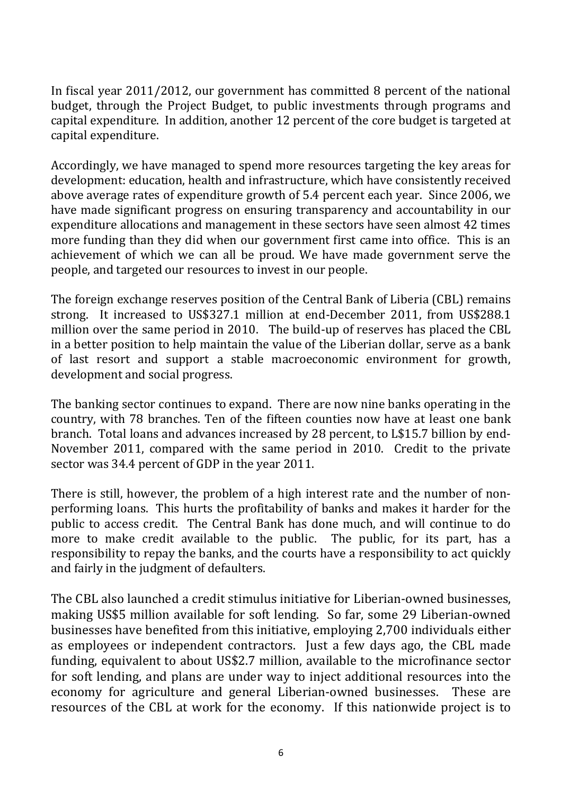In fiscal year 2011/2012, our government has committed 8 percent of the national budget, through the Project Budget, to public investments through programs and capital expenditure. In addition, another 12 percent of the core budget is targeted at capital expenditure.

Accordingly, we have managed to spend more resources targeting the key areas for development: education, health and infrastructure, which have consistently received above average rates of expenditure growth of 5.4 percent each year. Since 2006, we have made significant progress on ensuring transparency and accountability in our expenditure allocations and management in these sectors have seen almost 42 times more funding than they did when our government first came into office. This is an achievement of which we can all be proud. We have made government serve the people, and targeted our resources to invest in our people.

The foreign exchange reserves position of the Central Bank of Liberia (CBL) remains strong. It increased to US\$327.1 million at end-December 2011, from US\$288.1 million over the same period in 2010. The build-up of reserves has placed the CBL in a better position to help maintain the value of the Liberian dollar, serve as a bank of last resort and support a stable macroeconomic environment for growth, development and social progress.

The banking sector continues to expand. There are now nine banks operating in the country, with 78 branches. Ten of the fifteen counties now have at least one bank branch. Total loans and advances increased by 28 percent, to L\$15.7 billion by end-November 2011, compared with the same period in 2010. Credit to the private sector was 34.4 percent of GDP in the year 2011.

There is still, however, the problem of a high interest rate and the number of nonperforming loans. This hurts the profitability of banks and makes it harder for the public to access credit. The Central Bank has done much, and will continue to do more to make credit available to the public. The public, for its part, has a responsibility to repay the banks, and the courts have a responsibility to act quickly and fairly in the judgment of defaulters.

The CBL also launched a credit stimulus initiative for Liberian-owned businesses, making US\$5 million available for soft lending. So far, some 29 Liberian-owned businesses have benefited from this initiative, employing 2,700 individuals either as employees or independent contractors. Just a few days ago, the CBL made funding, equivalent to about US\$2.7 million, available to the microfinance sector for soft lending, and plans are under way to inject additional resources into the economy for agriculture and general Liberian-owned businesses. These are resources of the CBL at work for the economy. If this nationwide project is to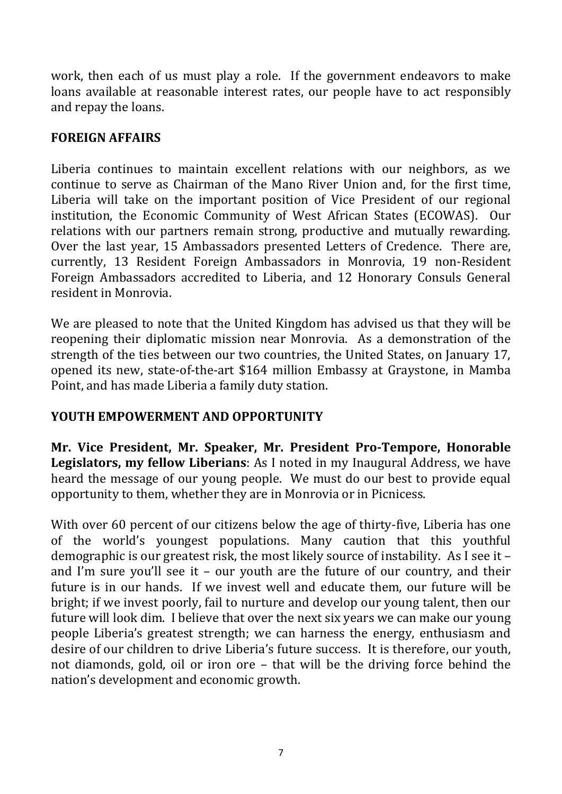work, then each of us must play a role. If the government endeavors to make loans available at reasonable interest rates, our people have to act responsibly and repay the loans.

## **FOREIGN AFFAIRS**

Liberia continues to maintain excellent relations with our neighbors, as we continue to serve as Chairman of the Mano River Union and, for the first time, Liberia will take on the important position of Vice President of our regional institution, the Economic Community of West African States (ECOWAS). Our relations with our partners remain strong, productive and mutually rewarding. Over the last year, 15 Ambassadors presented Letters of Credence. There are, currently, 13 Resident Foreign Ambassadors in Monrovia, 19 non-Resident Foreign Ambassadors accredited to Liberia, and 12 Honorary Consuls General resident in Monrovia.

We are pleased to note that the United Kingdom has advised us that they will be reopening their diplomatic mission near Monrovia. As a demonstration of the strength of the ties between our two countries, the United States, on January 17, opened its new, state-of-the-art \$164 million Embassy at Graystone, in Mamba Point, and has made Liberia a family duty station.

#### **YOUTH EMPOWERMENT AND OPPORTUNITY**

**Mr. Vice President, Mr. Speaker, Mr. President Pro-Tempore, Honorable Legislators, my fellow Liberians**: As I noted in my Inaugural Address, we have heard the message of our young people. We must do our best to provide equal opportunity to them, whether they are in Monrovia or in Picnicess.

With over 60 percent of our citizens below the age of thirty-five, Liberia has one of the world's youngest populations. Many caution that this youthful demographic is our greatest risk, the most likely source of instability. As I see it – and I'm sure you'll see it – our youth are the future of our country, and their future is in our hands. If we invest well and educate them, our future will be bright; if we invest poorly, fail to nurture and develop our young talent, then our future will look dim. I believe that over the next six years we can make our young people Liberia's greatest strength; we can harness the energy, enthusiasm and desire of our children to drive Liberia's future success. It is therefore, our youth, not diamonds, gold, oil or iron ore – that will be the driving force behind the nation's development and economic growth.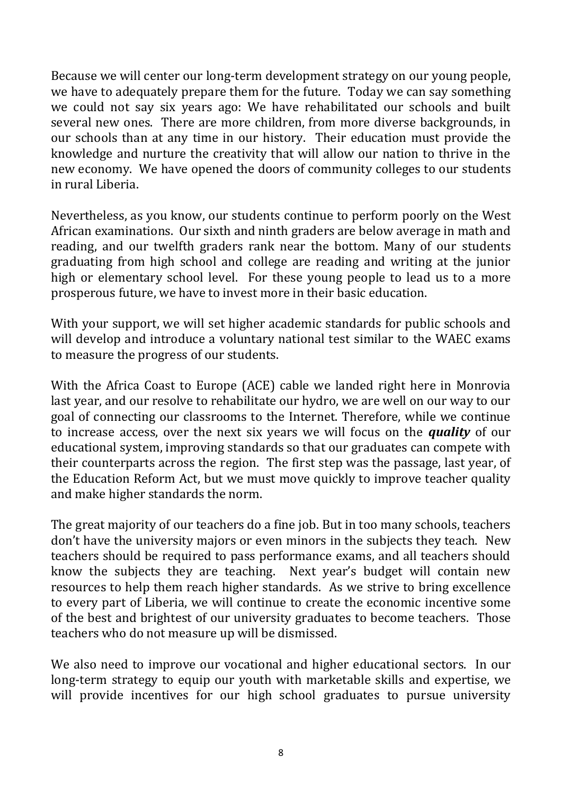Because we will center our long-term development strategy on our young people, we have to adequately prepare them for the future. Today we can say something we could not say six years ago: We have rehabilitated our schools and built several new ones. There are more children, from more diverse backgrounds, in our schools than at any time in our history. Their education must provide the knowledge and nurture the creativity that will allow our nation to thrive in the new economy. We have opened the doors of community colleges to our students in rural Liberia.

Nevertheless, as you know, our students continue to perform poorly on the West African examinations. Our sixth and ninth graders are below average in math and reading, and our twelfth graders rank near the bottom. Many of our students graduating from high school and college are reading and writing at the junior high or elementary school level. For these young people to lead us to a more prosperous future, we have to invest more in their basic education.

With your support, we will set higher academic standards for public schools and will develop and introduce a voluntary national test similar to the WAEC exams to measure the progress of our students.

With the Africa Coast to Europe (ACE) cable we landed right here in Monrovia last year, and our resolve to rehabilitate our hydro, we are well on our way to our goal of connecting our classrooms to the Internet. Therefore, while we continue to increase access, over the next six years we will focus on the *quality* of our educational system, improving standards so that our graduates can compete with their counterparts across the region. The first step was the passage, last year, of the Education Reform Act, but we must move quickly to improve teacher quality and make higher standards the norm.

The great majority of our teachers do a fine job. But in too many schools, teachers don't have the university majors or even minors in the subjects they teach. New teachers should be required to pass performance exams, and all teachers should know the subjects they are teaching. Next year's budget will contain new resources to help them reach higher standards. As we strive to bring excellence to every part of Liberia, we will continue to create the economic incentive some of the best and brightest of our university graduates to become teachers. Those teachers who do not measure up will be dismissed.

We also need to improve our vocational and higher educational sectors. In our long-term strategy to equip our youth with marketable skills and expertise, we will provide incentives for our high school graduates to pursue university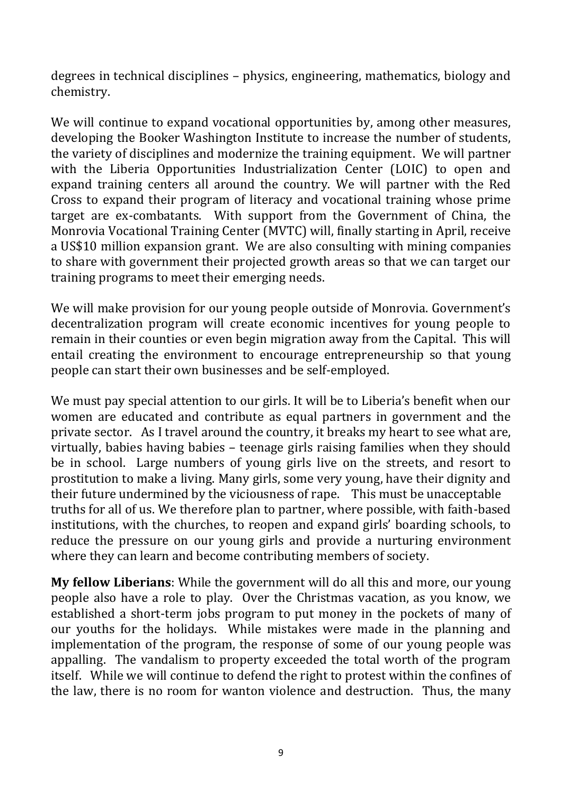degrees in technical disciplines – physics, engineering, mathematics, biology and chemistry.

We will continue to expand vocational opportunities by, among other measures, developing the Booker Washington Institute to increase the number of students, the variety of disciplines and modernize the training equipment. We will partner with the Liberia Opportunities Industrialization Center (LOIC) to open and expand training centers all around the country. We will partner with the Red Cross to expand their program of literacy and vocational training whose prime target are ex-combatants. With support from the Government of China, the Monrovia Vocational Training Center (MVTC) will, finally starting in April, receive a US\$10 million expansion grant. We are also consulting with mining companies to share with government their projected growth areas so that we can target our training programs to meet their emerging needs.

We will make provision for our young people outside of Monrovia. Government's decentralization program will create economic incentives for young people to remain in their counties or even begin migration away from the Capital. This will entail creating the environment to encourage entrepreneurship so that young people can start their own businesses and be self-employed.

We must pay special attention to our girls. It will be to Liberia's benefit when our women are educated and contribute as equal partners in government and the private sector. As I travel around the country, it breaks my heart to see what are, virtually, babies having babies – teenage girls raising families when they should be in school. Large numbers of young girls live on the streets, and resort to prostitution to make a living. Many girls, some very young, have their dignity and their future undermined by the viciousness of rape. This must be unacceptable truths for all of us. We therefore plan to partner, where possible, with faith-based institutions, with the churches, to reopen and expand girls' boarding schools, to reduce the pressure on our young girls and provide a nurturing environment where they can learn and become contributing members of society.

**My fellow Liberians**: While the government will do all this and more, our young people also have a role to play. Over the Christmas vacation, as you know, we established a short-term jobs program to put money in the pockets of many of our youths for the holidays. While mistakes were made in the planning and implementation of the program, the response of some of our young people was appalling. The vandalism to property exceeded the total worth of the program itself. While we will continue to defend the right to protest within the confines of the law, there is no room for wanton violence and destruction. Thus, the many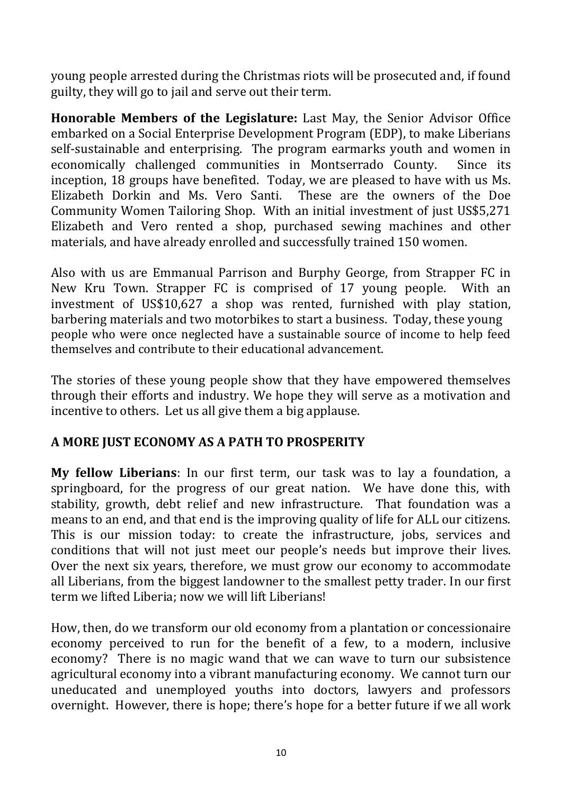young people arrested during the Christmas riots will be prosecuted and, if found guilty, they will go to jail and serve out their term.

**Honorable Members of the Legislature:** Last May, the Senior Advisor Office embarked on a Social Enterprise Development Program (EDP), to make Liberians self-sustainable and enterprising. The program earmarks youth and women in economically challenged communities in Montserrado County. Since its inception, 18 groups have benefited. Today, we are pleased to have with us Ms. Elizabeth Dorkin and Ms. Vero Santi. These are the owners of the Doe Community Women Tailoring Shop. With an initial investment of just US\$5,271 Elizabeth and Vero rented a shop, purchased sewing machines and other materials, and have already enrolled and successfully trained 150 women.

Also with us are Emmanual Parrison and Burphy George, from Strapper FC in New Kru Town. Strapper FC is comprised of 17 young people. With an investment of US\$10,627 a shop was rented, furnished with play station, barbering materials and two motorbikes to start a business. Today, these young people who were once neglected have a sustainable source of income to help feed themselves and contribute to their educational advancement.

The stories of these young people show that they have empowered themselves through their efforts and industry. We hope they will serve as a motivation and incentive to others. Let us all give them a big applause.

## **A MORE JUST ECONOMY AS A PATH TO PROSPERITY**

**My fellow Liberians**: In our first term, our task was to lay a foundation, a springboard, for the progress of our great nation. We have done this, with stability, growth, debt relief and new infrastructure. That foundation was a means to an end, and that end is the improving quality of life for ALL our citizens. This is our mission today: to create the infrastructure, jobs, services and conditions that will not just meet our people's needs but improve their lives. Over the next six years, therefore, we must grow our economy to accommodate all Liberians, from the biggest landowner to the smallest petty trader. In our first term we lifted Liberia; now we will lift Liberians!

How, then, do we transform our old economy from a plantation or concessionaire economy perceived to run for the benefit of a few, to a modern, inclusive economy? There is no magic wand that we can wave to turn our subsistence agricultural economy into a vibrant manufacturing economy. We cannot turn our uneducated and unemployed youths into doctors, lawyers and professors overnight. However, there is hope; there's hope for a better future if we all work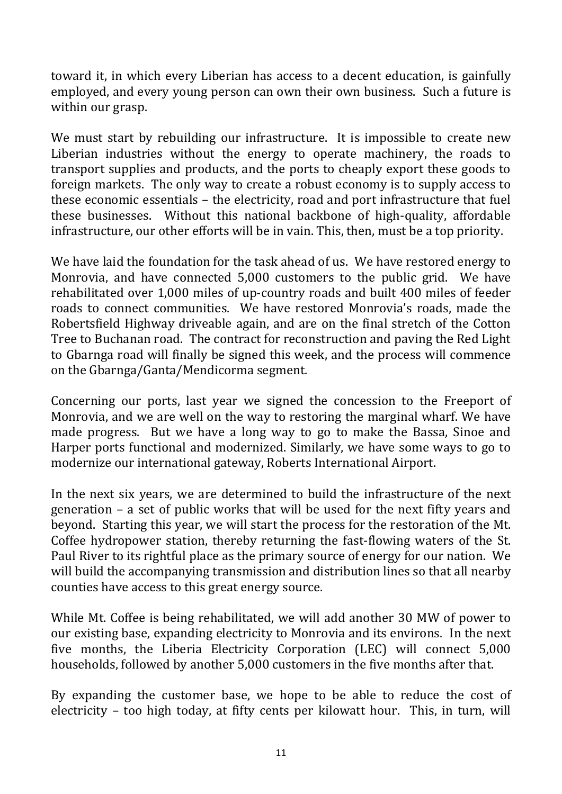toward it, in which every Liberian has access to a decent education, is gainfully employed, and every young person can own their own business. Such a future is within our grasp.

We must start by rebuilding our infrastructure. It is impossible to create new Liberian industries without the energy to operate machinery, the roads to transport supplies and products, and the ports to cheaply export these goods to foreign markets. The only way to create a robust economy is to supply access to these economic essentials – the electricity, road and port infrastructure that fuel these businesses. Without this national backbone of high-quality, affordable infrastructure, our other efforts will be in vain. This, then, must be a top priority.

We have laid the foundation for the task ahead of us. We have restored energy to Monrovia, and have connected 5,000 customers to the public grid. We have rehabilitated over 1,000 miles of up-country roads and built 400 miles of feeder roads to connect communities. We have restored Monrovia's roads, made the Robertsfield Highway driveable again, and are on the final stretch of the Cotton Tree to Buchanan road. The contract for reconstruction and paving the Red Light to Gbarnga road will finally be signed this week, and the process will commence on the Gbarnga/Ganta/Mendicorma segment.

Concerning our ports, last year we signed the concession to the Freeport of Monrovia, and we are well on the way to restoring the marginal wharf. We have made progress. But we have a long way to go to make the Bassa, Sinoe and Harper ports functional and modernized. Similarly, we have some ways to go to modernize our international gateway, Roberts International Airport.

In the next six years, we are determined to build the infrastructure of the next generation – a set of public works that will be used for the next fifty years and beyond. Starting this year, we will start the process for the restoration of the Mt. Coffee hydropower station, thereby returning the fast-flowing waters of the St. Paul River to its rightful place as the primary source of energy for our nation. We will build the accompanying transmission and distribution lines so that all nearby counties have access to this great energy source.

While Mt. Coffee is being rehabilitated, we will add another 30 MW of power to our existing base, expanding electricity to Monrovia and its environs. In the next five months, the Liberia Electricity Corporation (LEC) will connect 5,000 households, followed by another 5,000 customers in the five months after that.

By expanding the customer base, we hope to be able to reduce the cost of electricity – too high today, at fifty cents per kilowatt hour. This, in turn, will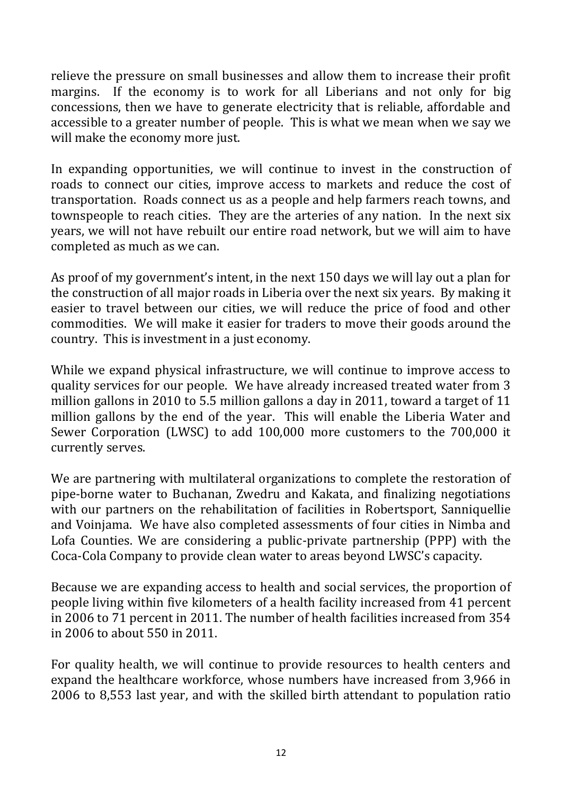relieve the pressure on small businesses and allow them to increase their profit margins. If the economy is to work for all Liberians and not only for big concessions, then we have to generate electricity that is reliable, affordable and accessible to a greater number of people. This is what we mean when we say we will make the economy more just.

In expanding opportunities, we will continue to invest in the construction of roads to connect our cities, improve access to markets and reduce the cost of transportation. Roads connect us as a people and help farmers reach towns, and townspeople to reach cities. They are the arteries of any nation. In the next six years, we will not have rebuilt our entire road network, but we will aim to have completed as much as we can.

As proof of my government's intent, in the next 150 days we will lay out a plan for the construction of all major roads in Liberia over the next six years. By making it easier to travel between our cities, we will reduce the price of food and other commodities. We will make it easier for traders to move their goods around the country. This is investment in a just economy.

While we expand physical infrastructure, we will continue to improve access to quality services for our people. We have already increased treated water from 3 million gallons in 2010 to 5.5 million gallons a day in 2011, toward a target of 11 million gallons by the end of the year. This will enable the Liberia Water and Sewer Corporation (LWSC) to add 100,000 more customers to the 700,000 it currently serves.

We are partnering with multilateral organizations to complete the restoration of pipe-borne water to Buchanan, Zwedru and Kakata, and finalizing negotiations with our partners on the rehabilitation of facilities in Robertsport, Sanniquellie and Voinjama. We have also completed assessments of four cities in Nimba and Lofa Counties. We are considering a public-private partnership (PPP) with the Coca-Cola Company to provide clean water to areas beyond LWSC's capacity.

Because we are expanding access to health and social services, the proportion of people living within five kilometers of a health facility increased from 41 percent in 2006 to 71 percent in 2011. The number of health facilities increased from 354 in 2006 to about 550 in 2011.

For quality health, we will continue to provide resources to health centers and expand the healthcare workforce, whose numbers have increased from 3,966 in 2006 to 8,553 last year, and with the skilled birth attendant to population ratio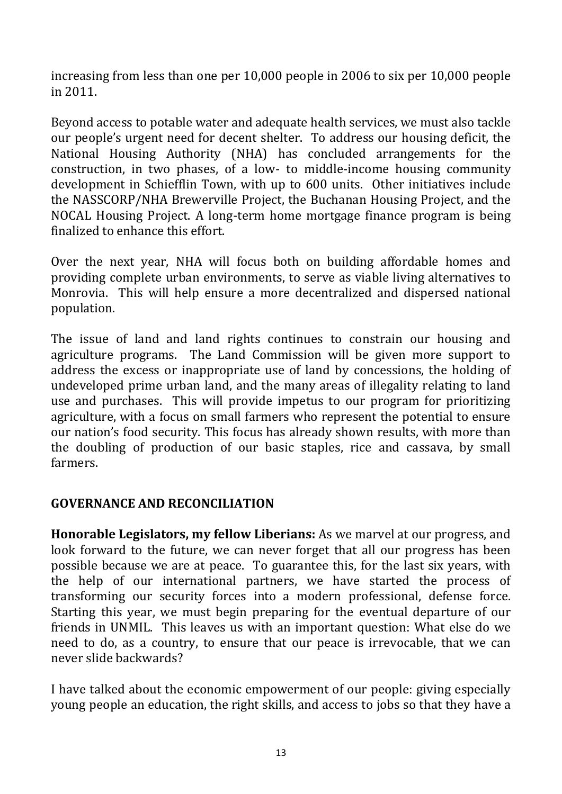increasing from less than one per 10,000 people in 2006 to six per 10,000 people in 2011.

Beyond access to potable water and adequate health services, we must also tackle our people's urgent need for decent shelter. To address our housing deficit, the National Housing Authority (NHA) has concluded arrangements for the construction, in two phases, of a low- to middle-income housing community development in Schiefflin Town, with up to 600 units. Other initiatives include the NASSCORP/NHA Brewerville Project, the Buchanan Housing Project, and the NOCAL Housing Project. A long-term home mortgage finance program is being finalized to enhance this effort.

Over the next year, NHA will focus both on building affordable homes and providing complete urban environments, to serve as viable living alternatives to Monrovia. This will help ensure a more decentralized and dispersed national population.

The issue of land and land rights continues to constrain our housing and agriculture programs. The Land Commission will be given more support to address the excess or inappropriate use of land by concessions, the holding of undeveloped prime urban land, and the many areas of illegality relating to land use and purchases. This will provide impetus to our program for prioritizing agriculture, with a focus on small farmers who represent the potential to ensure our nation's food security. This focus has already shown results, with more than the doubling of production of our basic staples, rice and cassava, by small farmers.

#### **GOVERNANCE AND RECONCILIATION**

**Honorable Legislators, my fellow Liberians:** As we marvel at our progress, and look forward to the future, we can never forget that all our progress has been possible because we are at peace. To guarantee this, for the last six years, with the help of our international partners, we have started the process of transforming our security forces into a modern professional, defense force. Starting this year, we must begin preparing for the eventual departure of our friends in UNMIL. This leaves us with an important question: What else do we need to do, as a country, to ensure that our peace is irrevocable, that we can never slide backwards?

I have talked about the economic empowerment of our people: giving especially young people an education, the right skills, and access to jobs so that they have a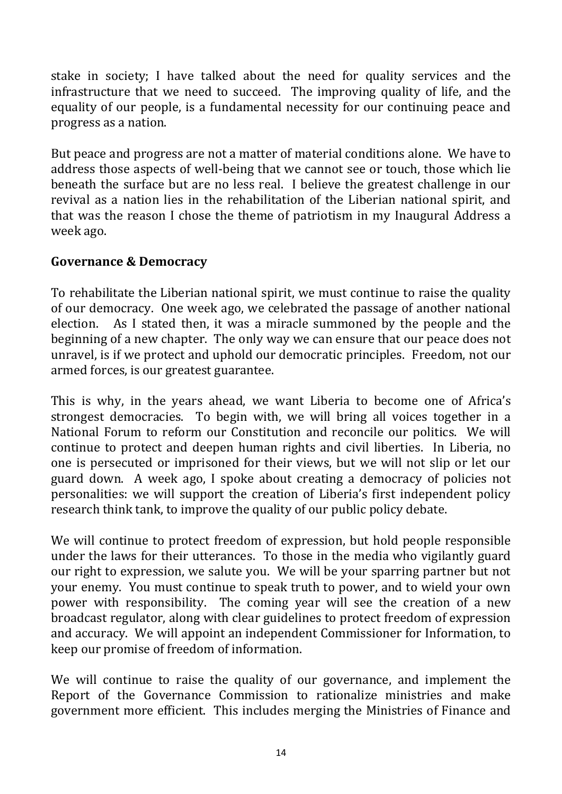stake in society; I have talked about the need for quality services and the infrastructure that we need to succeed. The improving quality of life, and the equality of our people, is a fundamental necessity for our continuing peace and progress as a nation.

But peace and progress are not a matter of material conditions alone. We have to address those aspects of well-being that we cannot see or touch, those which lie beneath the surface but are no less real. I believe the greatest challenge in our revival as a nation lies in the rehabilitation of the Liberian national spirit, and that was the reason I chose the theme of patriotism in my Inaugural Address a week ago.

#### **Governance & Democracy**

To rehabilitate the Liberian national spirit, we must continue to raise the quality of our democracy. One week ago, we celebrated the passage of another national election. As I stated then, it was a miracle summoned by the people and the beginning of a new chapter. The only way we can ensure that our peace does not unravel, is if we protect and uphold our democratic principles. Freedom, not our armed forces, is our greatest guarantee.

This is why, in the years ahead, we want Liberia to become one of Africa's strongest democracies. To begin with, we will bring all voices together in a National Forum to reform our Constitution and reconcile our politics. We will continue to protect and deepen human rights and civil liberties. In Liberia, no one is persecuted or imprisoned for their views, but we will not slip or let our guard down. A week ago, I spoke about creating a democracy of policies not personalities: we will support the creation of Liberia's first independent policy research think tank, to improve the quality of our public policy debate.

We will continue to protect freedom of expression, but hold people responsible under the laws for their utterances. To those in the media who vigilantly guard our right to expression, we salute you. We will be your sparring partner but not your enemy. You must continue to speak truth to power, and to wield your own power with responsibility. The coming year will see the creation of a new broadcast regulator, along with clear guidelines to protect freedom of expression and accuracy. We will appoint an independent Commissioner for Information, to keep our promise of freedom of information.

We will continue to raise the quality of our governance, and implement the Report of the Governance Commission to rationalize ministries and make government more efficient. This includes merging the Ministries of Finance and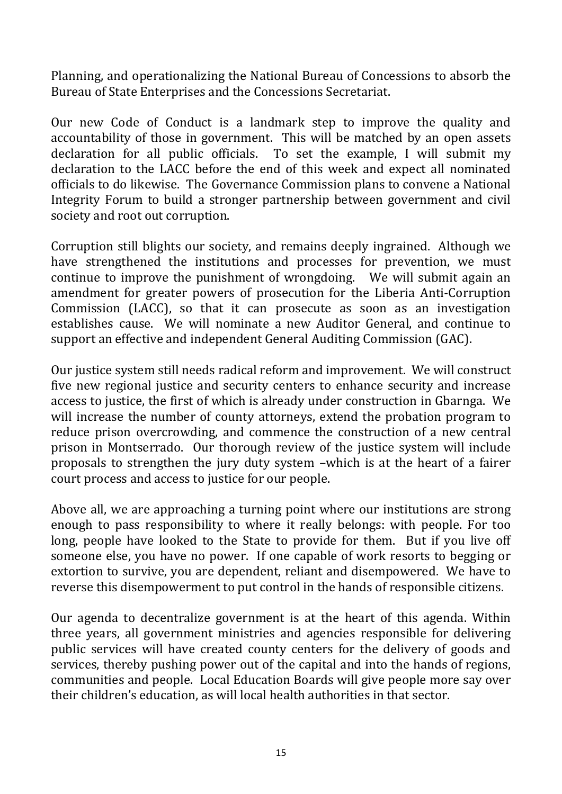Planning, and operationalizing the National Bureau of Concessions to absorb the Bureau of State Enterprises and the Concessions Secretariat.

Our new Code of Conduct is a landmark step to improve the quality and accountability of those in government. This will be matched by an open assets declaration for all public officials. To set the example, I will submit my declaration to the LACC before the end of this week and expect all nominated officials to do likewise. The Governance Commission plans to convene a National Integrity Forum to build a stronger partnership between government and civil society and root out corruption.

Corruption still blights our society, and remains deeply ingrained. Although we have strengthened the institutions and processes for prevention, we must continue to improve the punishment of wrongdoing. We will submit again an amendment for greater powers of prosecution for the Liberia Anti-Corruption Commission (LACC), so that it can prosecute as soon as an investigation establishes cause. We will nominate a new Auditor General, and continue to support an effective and independent General Auditing Commission (GAC).

Our justice system still needs radical reform and improvement. We will construct five new regional justice and security centers to enhance security and increase access to justice, the first of which is already under construction in Gbarnga. We will increase the number of county attorneys, extend the probation program to reduce prison overcrowding, and commence the construction of a new central prison in Montserrado. Our thorough review of the justice system will include proposals to strengthen the jury duty system –which is at the heart of a fairer court process and access to justice for our people.

Above all, we are approaching a turning point where our institutions are strong enough to pass responsibility to where it really belongs: with people. For too long, people have looked to the State to provide for them. But if you live off someone else, you have no power. If one capable of work resorts to begging or extortion to survive, you are dependent, reliant and disempowered. We have to reverse this disempowerment to put control in the hands of responsible citizens.

Our agenda to decentralize government is at the heart of this agenda. Within three years, all government ministries and agencies responsible for delivering public services will have created county centers for the delivery of goods and services, thereby pushing power out of the capital and into the hands of regions, communities and people. Local Education Boards will give people more say over their children's education, as will local health authorities in that sector.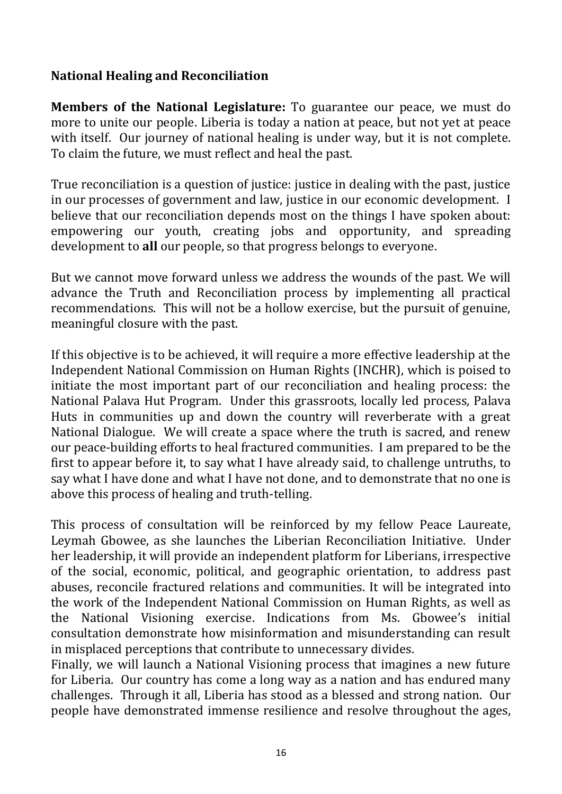### **National Healing and Reconciliation**

**Members of the National Legislature:** To guarantee our peace, we must do more to unite our people. Liberia is today a nation at peace, but not yet at peace with itself. Our journey of national healing is under way, but it is not complete. To claim the future, we must reflect and heal the past.

True reconciliation is a question of justice: justice in dealing with the past, justice in our processes of government and law, justice in our economic development. I believe that our reconciliation depends most on the things I have spoken about: empowering our youth, creating jobs and opportunity, and spreading development to **all** our people, so that progress belongs to everyone.

But we cannot move forward unless we address the wounds of the past. We will advance the Truth and Reconciliation process by implementing all practical recommendations. This will not be a hollow exercise, but the pursuit of genuine, meaningful closure with the past.

If this objective is to be achieved, it will require a more effective leadership at the Independent National Commission on Human Rights (INCHR), which is poised to initiate the most important part of our reconciliation and healing process: the National Palava Hut Program. Under this grassroots, locally led process, Palava Huts in communities up and down the country will reverberate with a great National Dialogue. We will create a space where the truth is sacred, and renew our peace-building efforts to heal fractured communities. I am prepared to be the first to appear before it, to say what I have already said, to challenge untruths, to say what I have done and what I have not done, and to demonstrate that no one is above this process of healing and truth-telling.

This process of consultation will be reinforced by my fellow Peace Laureate, Leymah Gbowee, as she launches the Liberian Reconciliation Initiative. Under her leadership, it will provide an independent platform for Liberians, irrespective of the social, economic, political, and geographic orientation, to address past abuses, reconcile fractured relations and communities. It will be integrated into the work of the Independent National Commission on Human Rights, as well as the National Visioning exercise. Indications from Ms. Gbowee's initial consultation demonstrate how misinformation and misunderstanding can result in misplaced perceptions that contribute to unnecessary divides.

Finally, we will launch a National Visioning process that imagines a new future for Liberia. Our country has come a long way as a nation and has endured many challenges. Through it all, Liberia has stood as a blessed and strong nation. Our people have demonstrated immense resilience and resolve throughout the ages,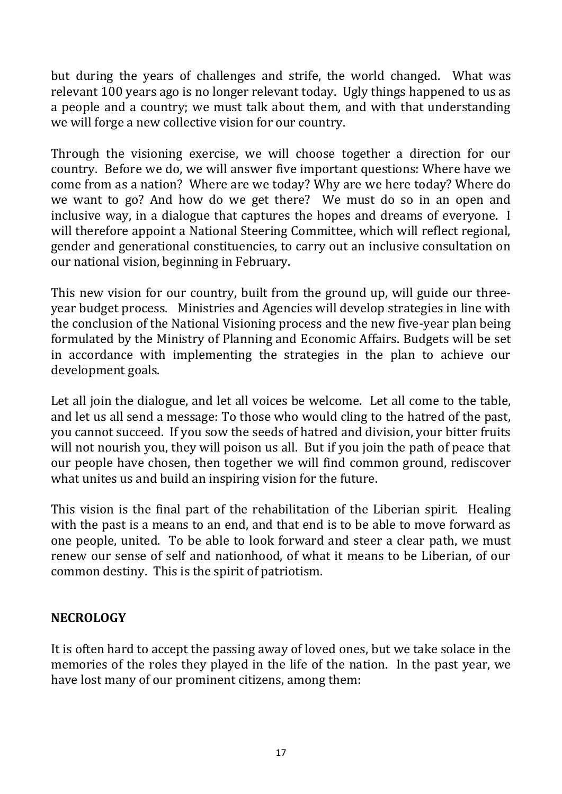but during the years of challenges and strife, the world changed. What was relevant 100 years ago is no longer relevant today. Ugly things happened to us as a people and a country; we must talk about them, and with that understanding we will forge a new collective vision for our country.

Through the visioning exercise, we will choose together a direction for our country. Before we do, we will answer five important questions: Where have we come from as a nation? Where are we today? Why are we here today? Where do we want to go? And how do we get there? We must do so in an open and inclusive way, in a dialogue that captures the hopes and dreams of everyone. I will therefore appoint a National Steering Committee, which will reflect regional, gender and generational constituencies, to carry out an inclusive consultation on our national vision, beginning in February.

This new vision for our country, built from the ground up, will guide our threeyear budget process. Ministries and Agencies will develop strategies in line with the conclusion of the National Visioning process and the new five-year plan being formulated by the Ministry of Planning and Economic Affairs. Budgets will be set in accordance with implementing the strategies in the plan to achieve our development goals.

Let all join the dialogue, and let all voices be welcome. Let all come to the table, and let us all send a message: To those who would cling to the hatred of the past, you cannot succeed. If you sow the seeds of hatred and division, your bitter fruits will not nourish you, they will poison us all. But if you join the path of peace that our people have chosen, then together we will find common ground, rediscover what unites us and build an inspiring vision for the future.

This vision is the final part of the rehabilitation of the Liberian spirit. Healing with the past is a means to an end, and that end is to be able to move forward as one people, united. To be able to look forward and steer a clear path, we must renew our sense of self and nationhood, of what it means to be Liberian, of our common destiny. This is the spirit of patriotism.

#### **NECROLOGY**

It is often hard to accept the passing away of loved ones, but we take solace in the memories of the roles they played in the life of the nation. In the past year, we have lost many of our prominent citizens, among them: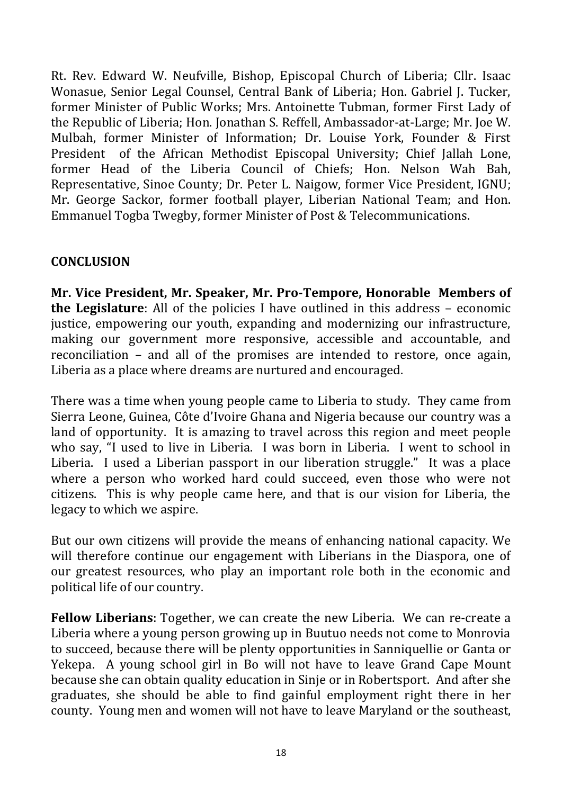Rt. Rev. Edward W. Neufville, Bishop, Episcopal Church of Liberia; Cllr. Isaac Wonasue, Senior Legal Counsel, Central Bank of Liberia; Hon. Gabriel J. Tucker, former Minister of Public Works; Mrs. Antoinette Tubman, former First Lady of the Republic of Liberia; Hon. Jonathan S. Reffell, Ambassador-at-Large; Mr. Joe W. Mulbah, former Minister of Information; Dr. Louise York, Founder & First President of the African Methodist Episcopal University; Chief Jallah Lone, former Head of the Liberia Council of Chiefs; Hon. Nelson Wah Bah, Representative, Sinoe County; Dr. Peter L. Naigow, former Vice President, IGNU; Mr. George Sackor, former football player, Liberian National Team; and Hon. Emmanuel Togba Twegby, former Minister of Post & Telecommunications.

#### **CONCLUSION**

**Mr. Vice President, Mr. Speaker, Mr. Pro-Tempore, Honorable Members of the Legislature**: All of the policies I have outlined in this address – economic justice, empowering our youth, expanding and modernizing our infrastructure, making our government more responsive, accessible and accountable, and reconciliation – and all of the promises are intended to restore, once again, Liberia as a place where dreams are nurtured and encouraged.

There was a time when young people came to Liberia to study. They came from Sierra Leone, Guinea, Côte d'Ivoire Ghana and Nigeria because our country was a land of opportunity. It is amazing to travel across this region and meet people who say, "I used to live in Liberia. I was born in Liberia. I went to school in Liberia. I used a Liberian passport in our liberation struggle." It was a place where a person who worked hard could succeed, even those who were not citizens. This is why people came here, and that is our vision for Liberia, the legacy to which we aspire.

But our own citizens will provide the means of enhancing national capacity. We will therefore continue our engagement with Liberians in the Diaspora, one of our greatest resources, who play an important role both in the economic and political life of our country.

**Fellow Liberians**: Together, we can create the new Liberia. We can re-create a Liberia where a young person growing up in Buutuo needs not come to Monrovia to succeed, because there will be plenty opportunities in Sanniquellie or Ganta or Yekepa. A young school girl in Bo will not have to leave Grand Cape Mount because she can obtain quality education in Sinje or in Robertsport. And after she graduates, she should be able to find gainful employment right there in her county. Young men and women will not have to leave Maryland or the southeast,